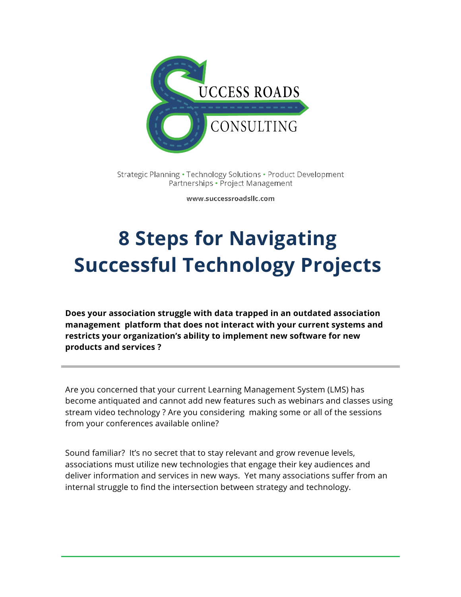

Strategic Planning · Technology Solutions · Product Development Partnerships • Project Management

www.successroadsllc.com

# **8 Steps for Navigating Successful Technology Projects**

**Does your association struggle with data trapped in an outdated association management platform that does not interact with your current systems and restricts your organization's ability to implement new software for new products and services ?**

Are you concerned that your current Learning Management System (LMS) has become antiquated and cannot add new features such as webinars and classes using stream video technology ? Are you considering making some or all of the sessions from your conferences available online?

Sound familiar? It's no secret that to stay relevant and grow revenue levels, associations must utilize new technologies that engage their key audiences and deliver information and services in new ways. Yet many associations suffer from an internal struggle to find the intersection between strategy and technology.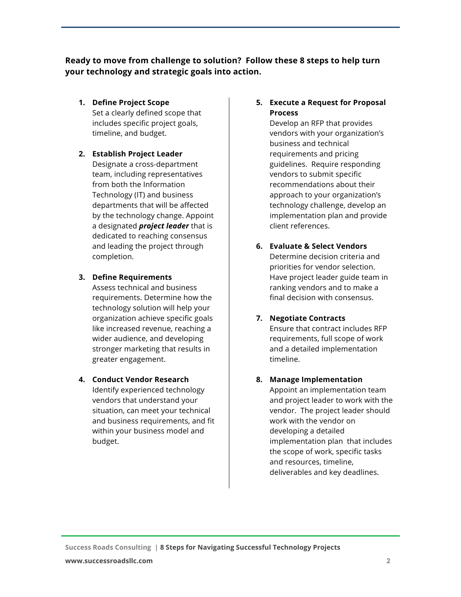**Ready to move from challenge to solution? Follow these 8 steps to help turn your technology and strategic goals into action.** 

**1. Define Project Scope** 

Set a clearly defined scope that includes specific project goals, timeline, and budget.

# **2. Establish Project Leader**

Designate a cross-department team, including representatives from both the Information Technology (IT) and business departments that will be affected by the technology change. Appoint a designated *project leader* that is dedicated to reaching consensus and leading the project through completion.

#### **3. Define Requirements**

Assess technical and business requirements. Determine how the technology solution will help your organization achieve specific goals like increased revenue, reaching a wider audience, and developing stronger marketing that results in greater engagement.

## **4. Conduct Vendor Research**

Identify experienced technology vendors that understand your situation, can meet your technical and business requirements, and fit within your business model and budget.

#### **5. Execute a Request for Proposal Process**

Develop an RFP that provides vendors with your organization's business and technical requirements and pricing guidelines. Require responding vendors to submit specific recommendations about their approach to your organization's technology challenge, develop an implementation plan and provide client references.

**6. Evaluate & Select Vendors** Determine decision criteria and priorities for vendor selection. Have project leader guide team in ranking vendors and to make a final decision with consensus.

## **7. Negotiate Contracts**

Ensure that contract includes RFP requirements, full scope of work and a detailed implementation timeline.

**8. Manage Implementation**

Appoint an implementation team and project leader to work with the vendor. The project leader should work with the vendor on developing a detailed implementation plan that includes the scope of work, specific tasks and resources, timeline, deliverables and key deadlines.

**Success Roads Consulting | 8 Steps for Navigating Successful Technology Projects**